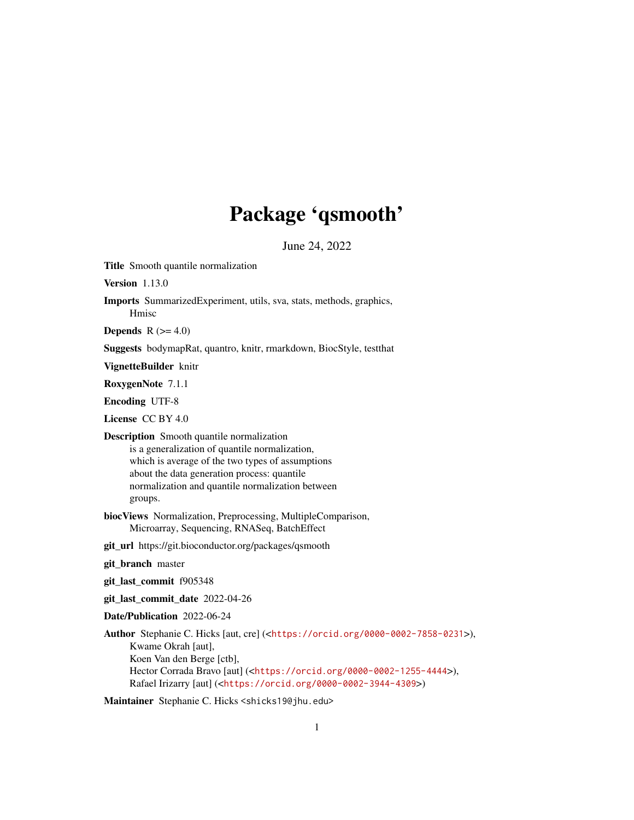## Package 'qsmooth'

June 24, 2022

Title Smooth quantile normalization

Version 1.13.0

Imports SummarizedExperiment, utils, sva, stats, methods, graphics, Hmisc

Depends  $R$  ( $>= 4.0$ )

Suggests bodymapRat, quantro, knitr, rmarkdown, BiocStyle, testthat

VignetteBuilder knitr

RoxygenNote 7.1.1

Encoding UTF-8

License CC BY 4.0

- Description Smooth quantile normalization is a generalization of quantile normalization, which is average of the two types of assumptions about the data generation process: quantile normalization and quantile normalization between groups.
- biocViews Normalization, Preprocessing, MultipleComparison, Microarray, Sequencing, RNASeq, BatchEffect
- git\_url https://git.bioconductor.org/packages/qsmooth
- git\_branch master
- git\_last\_commit f905348
- git\_last\_commit\_date 2022-04-26
- Date/Publication 2022-06-24

Author Stephanie C. Hicks [aut, cre] (<<https://orcid.org/0000-0002-7858-0231>>), Kwame Okrah [aut], Koen Van den Berge [ctb], Hector Corrada Bravo [aut] (<<https://orcid.org/0000-0002-1255-4444>>), Rafael Irizarry [aut] (<<https://orcid.org/0000-0002-3944-4309>>)

Maintainer Stephanie C. Hicks <shicks19@jhu.edu>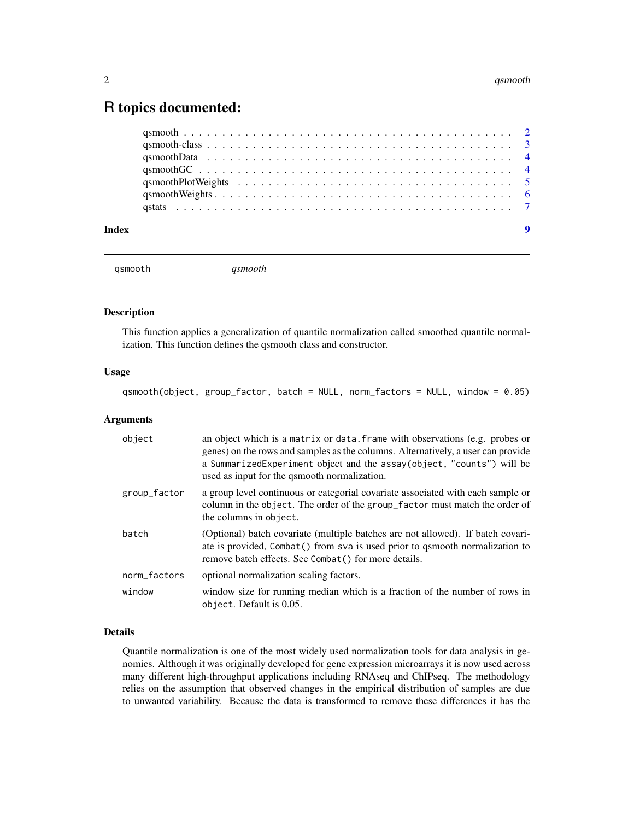### <span id="page-1-0"></span>R topics documented:

```
qsmooth qsmooth
```
#### Description

This function applies a generalization of quantile normalization called smoothed quantile normalization. This function defines the qsmooth class and constructor.

#### Usage

qsmooth(object, group\_factor, batch = NULL, norm\_factors = NULL, window = 0.05)

#### Arguments

| object       | an object which is a matrix or data. frame with observations (e.g. probes or<br>genes) on the rows and samples as the columns. Alternatively, a user can provide<br>a SummarizedExperiment object and the assay(object, "counts") will be<br>used as input for the qsmooth normalization. |
|--------------|-------------------------------------------------------------------------------------------------------------------------------------------------------------------------------------------------------------------------------------------------------------------------------------------|
| group_factor | a group level continuous or categorial covariate associated with each sample or<br>column in the object. The order of the group_factor must match the order of<br>the columns in object.                                                                                                  |
| batch        | (Optional) batch covariate (multiple batches are not allowed). If batch covari-<br>ate is provided, Combat () from sva is used prior to qsmooth normalization to<br>remove batch effects. See Combat() for more details.                                                                  |
| norm_factors | optional normalization scaling factors.                                                                                                                                                                                                                                                   |
| window       | window size for running median which is a fraction of the number of rows in<br>object. Default is 0.05.                                                                                                                                                                                   |

#### Details

Quantile normalization is one of the most widely used normalization tools for data analysis in genomics. Although it was originally developed for gene expression microarrays it is now used across many different high-throughput applications including RNAseq and ChIPseq. The methodology relies on the assumption that observed changes in the empirical distribution of samples are due to unwanted variability. Because the data is transformed to remove these differences it has the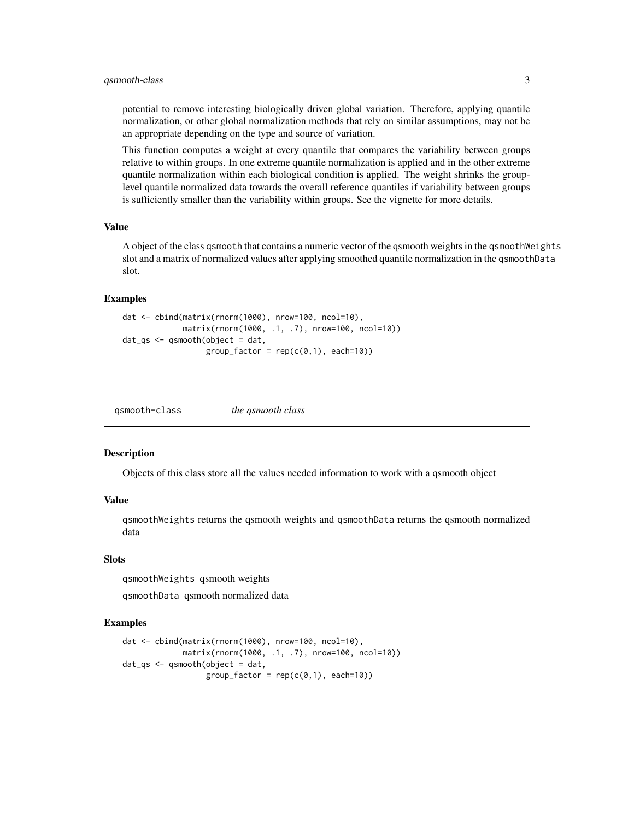#### <span id="page-2-0"></span>qsmooth-class 3

potential to remove interesting biologically driven global variation. Therefore, applying quantile normalization, or other global normalization methods that rely on similar assumptions, may not be an appropriate depending on the type and source of variation.

This function computes a weight at every quantile that compares the variability between groups relative to within groups. In one extreme quantile normalization is applied and in the other extreme quantile normalization within each biological condition is applied. The weight shrinks the grouplevel quantile normalized data towards the overall reference quantiles if variability between groups is sufficiently smaller than the variability within groups. See the vignette for more details.

#### Value

A object of the class qsmooth that contains a numeric vector of the qsmooth weights in the qsmoothWeights slot and a matrix of normalized values after applying smoothed quantile normalization in the qsmoothData slot.

#### Examples

```
dat <- cbind(matrix(rnorm(1000), nrow=100, ncol=10),
            matrix(rnorm(1000, .1, .7), nrow=100, ncol=10))
dat_qs <- qsmooth(object = dat,
                  group_factor = rep(c(0,1), each=10))
```

| gsmooth-class | the qsmooth class |
|---------------|-------------------|
|               |                   |

#### **Description**

Objects of this class store all the values needed information to work with a qsmooth object

#### Value

qsmoothWeights returns the qsmooth weights and qsmoothData returns the qsmooth normalized data

#### Slots

qsmoothWeights qsmooth weights

qsmoothData qsmooth normalized data

#### Examples

```
dat <- cbind(matrix(rnorm(1000), nrow=100, ncol=10),
            matrix(rnorm(1000, .1, .7), nrow=100, ncol=10))
dat_{gs} <- qsmooth(object = dat,
                  group_factor = rep(c(0,1), each=10))
```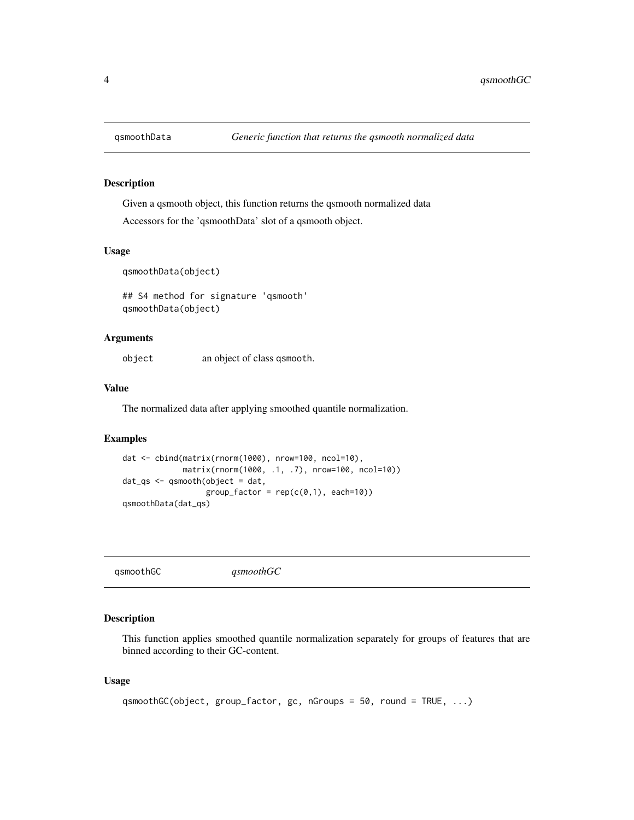<span id="page-3-0"></span>

#### Description

Given a qsmooth object, this function returns the qsmooth normalized data

Accessors for the 'qsmoothData' slot of a qsmooth object.

#### Usage

qsmoothData(object)

## S4 method for signature 'qsmooth' qsmoothData(object)

#### Arguments

object an object of class qsmooth.

#### Value

The normalized data after applying smoothed quantile normalization.

#### Examples

```
dat <- cbind(matrix(rnorm(1000), nrow=100, ncol=10),
            matrix(rnorm(1000, .1, .7), nrow=100, ncol=10))
dat_qs <- qsmooth(object = dat,
                 group_factor = rep(c(0,1), each=10))qsmoothData(dat_qs)
```
qsmoothGC *qsmoothGC*

#### Description

This function applies smoothed quantile normalization separately for groups of features that are binned according to their GC-content.

#### Usage

```
qsmoothGC(object, group_factor, gc, nGroups = 50, round = TRUE, ...)
```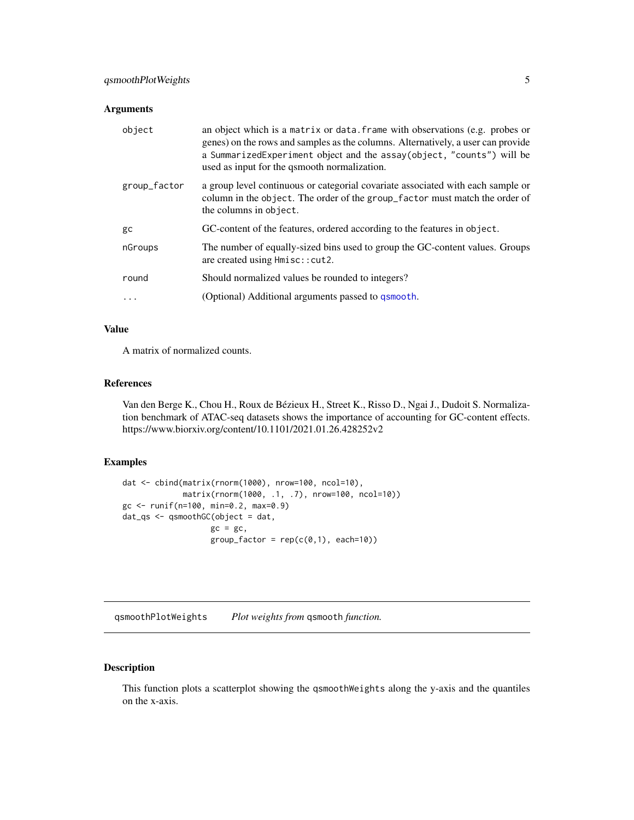#### <span id="page-4-0"></span>Arguments

| object       | an object which is a matrix or data. frame with observations (e.g. probes or<br>genes) on the rows and samples as the columns. Alternatively, a user can provide<br>a SummarizedExperiment object and the assay(object, "counts") will be<br>used as input for the qsmooth normalization. |
|--------------|-------------------------------------------------------------------------------------------------------------------------------------------------------------------------------------------------------------------------------------------------------------------------------------------|
| group_factor | a group level continuous or categorial covariate associated with each sample or<br>column in the object. The order of the group_factor must match the order of<br>the columns in object.                                                                                                  |
| gc           | GC-content of the features, ordered according to the features in object.                                                                                                                                                                                                                  |
| nGroups      | The number of equally-sized bins used to group the GC-content values. Groups<br>are created using $Hmisc$ : cut2.                                                                                                                                                                         |
| round        | Should normalized values be rounded to integers?                                                                                                                                                                                                                                          |
| $\cdots$     | (Optional) Additional arguments passed to qsmooth.                                                                                                                                                                                                                                        |

#### Value

A matrix of normalized counts.

#### References

Van den Berge K., Chou H., Roux de Bézieux H., Street K., Risso D., Ngai J., Dudoit S. Normalization benchmark of ATAC-seq datasets shows the importance of accounting for GC-content effects. https://www.biorxiv.org/content/10.1101/2021.01.26.428252v2

#### Examples

```
dat <- cbind(matrix(rnorm(1000), nrow=100, ncol=10),
            matrix(rnorm(1000, .1, .7), nrow=100, ncol=10))
gc <- runif(n=100, min=0.2, max=0.9)
dat_qs <- qsmoothGC(object = dat,
                  gc = gc,group_factor = rep(c(0,1), each=10))
```
qsmoothPlotWeights *Plot weights from* qsmooth *function.*

#### Description

This function plots a scatterplot showing the qsmoothWeights along the y-axis and the quantiles on the x-axis.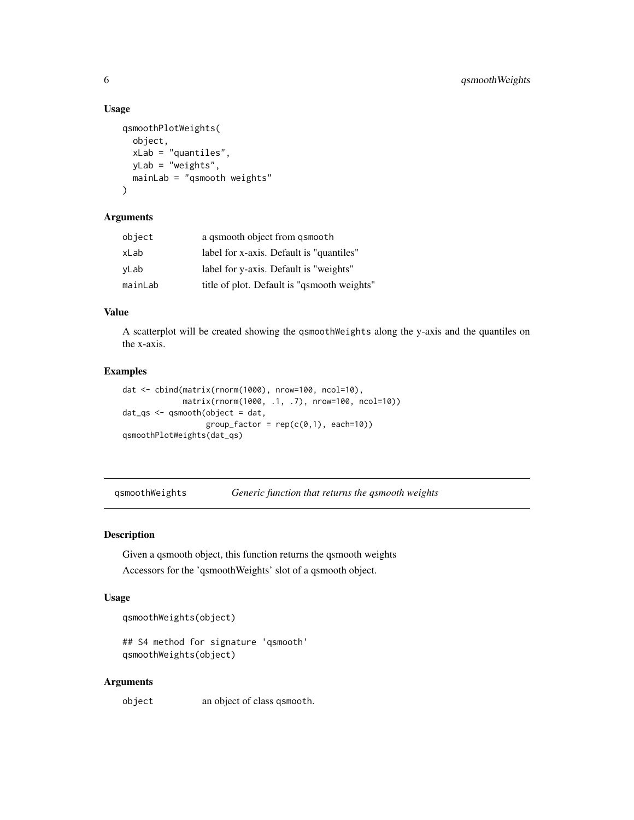#### Usage

```
qsmoothPlotWeights(
  object,
  xLab = "quantiles",
 yLab = "weights",
  mainLab = "qsmooth weights"
)
```
#### Arguments

| object  | a gsmooth object from gsmooth               |
|---------|---------------------------------------------|
| xLab    | label for x-axis. Default is "quantiles"    |
| yLab    | label for y-axis. Default is "weights"      |
| mainLab | title of plot. Default is "qsmooth weights" |

#### Value

A scatterplot will be created showing the qsmoothWeights along the y-axis and the quantiles on the x-axis.

#### Examples

```
dat <- cbind(matrix(rnorm(1000), nrow=100, ncol=10),
            matrix(rnorm(1000, .1, .7), nrow=100, ncol=10))
dat_qs <- qsmooth(object = dat,
                 group_factor = rep(c(0,1), each=10))qsmoothPlotWeights(dat_qs)
```
qsmoothWeights *Generic function that returns the qsmooth weights*

#### Description

Given a qsmooth object, this function returns the qsmooth weights Accessors for the 'qsmoothWeights' slot of a qsmooth object.

#### Usage

```
qsmoothWeights(object)
```

```
## S4 method for signature 'qsmooth'
qsmoothWeights(object)
```
#### Arguments

object an object of class qsmooth.

<span id="page-5-0"></span>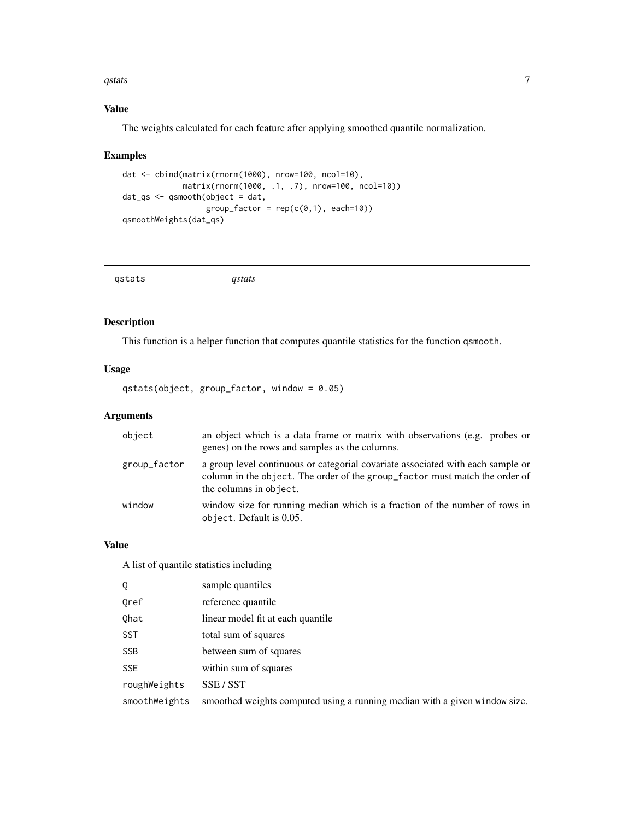#### <span id="page-6-0"></span> $q$ stats  $\overline{7}$

#### Value

The weights calculated for each feature after applying smoothed quantile normalization.

#### Examples

```
dat <- cbind(matrix(rnorm(1000), nrow=100, ncol=10),
            matrix(rnorm(1000, .1, .7), nrow=100, ncol=10))
dat_qs <- qsmooth(object = dat,
                 group_factor = rep(c(0,1), each=10))qsmoothWeights(dat_qs)
```

#### Description

This function is a helper function that computes quantile statistics for the function qsmooth.

#### Usage

qstats(object, group\_factor, window = 0.05)

#### Arguments

| object       | an object which is a data frame or matrix with observations (e.g. probes or<br>genes) on the rows and samples as the columns.                                                            |
|--------------|------------------------------------------------------------------------------------------------------------------------------------------------------------------------------------------|
| group_factor | a group level continuous or categorial covariate associated with each sample or<br>column in the object. The order of the group_factor must match the order of<br>the columns in object. |
| window       | window size for running median which is a fraction of the number of rows in<br>object. Default is 0.05.                                                                                  |

#### Value

A list of quantile statistics including

| Q             | sample quantiles                                                           |
|---------------|----------------------------------------------------------------------------|
| Oref          | reference quantile                                                         |
| Qhat          | linear model fit at each quantile                                          |
| <b>SST</b>    | total sum of squares                                                       |
| <b>SSB</b>    | between sum of squares                                                     |
| <b>SSE</b>    | within sum of squares                                                      |
| roughWeights  | SSE / SST                                                                  |
| smoothWeights | smoothed weights computed using a running median with a given window size. |
|               |                                                                            |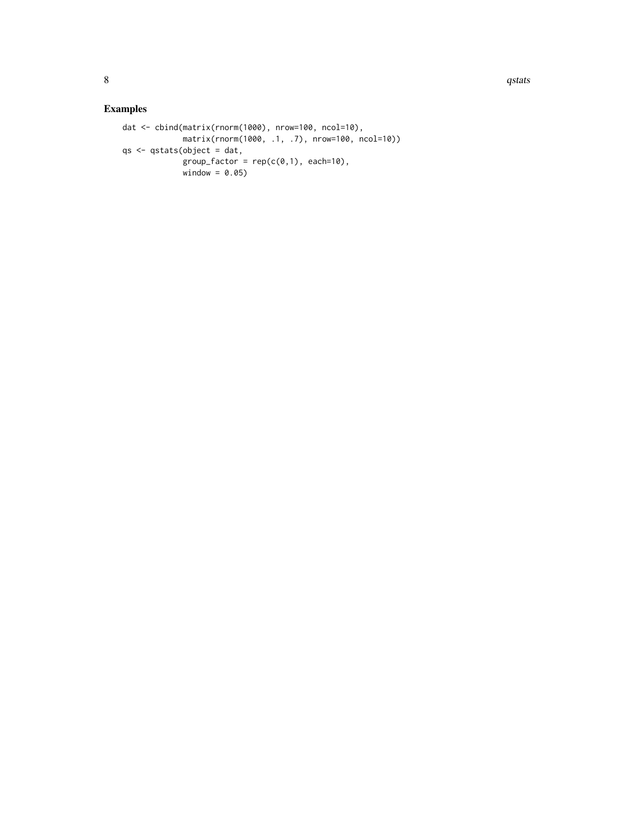#### Examples

```
dat <- cbind(matrix(rnorm(1000), nrow=100, ncol=10),
            matrix(rnorm(1000, .1, .7), nrow=100, ncol=10))
qs <- qstats(object = dat,
            group_factor = rep(c(0,1), each=10),window = 0.05)
```